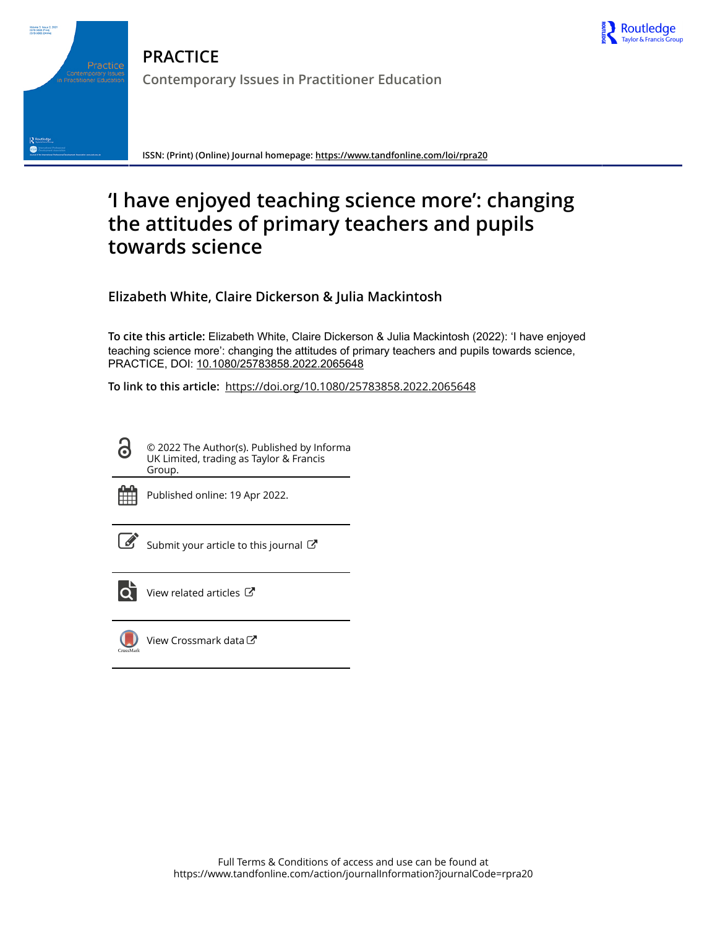

**PRACTICE Contemporary Issues in Practitioner Education**

**ISSN: (Print) (Online) Journal homepage:<https://www.tandfonline.com/loi/rpra20>**

# **'I have enjoyed teaching science more': changing the attitudes of primary teachers and pupils towards science**

**Elizabeth White, Claire Dickerson & Julia Mackintosh**

**To cite this article:** Elizabeth White, Claire Dickerson & Julia Mackintosh (2022): 'I have enjoyed teaching science more': changing the attitudes of primary teachers and pupils towards science, PRACTICE, DOI: [10.1080/25783858.2022.2065648](https://www.tandfonline.com/action/showCitFormats?doi=10.1080/25783858.2022.2065648)

**To link to this article:** <https://doi.org/10.1080/25783858.2022.2065648>

© 2022 The Author(s). Published by Informa UK Limited, trading as Taylor & Francis Group.



6

Volume 3 Issue 2,<br>2578-3858 (Print)<br>2578-3866 (Online)

R Routled

Published online: 19 Apr 2022.

[Submit your article to this journal](https://www.tandfonline.com/action/authorSubmission?journalCode=rpra20&show=instructions)  $\mathbb{Z}$ 



[View related articles](https://www.tandfonline.com/doi/mlt/10.1080/25783858.2022.2065648)  $\mathbb{Z}$ 



[View Crossmark data](http://crossmark.crossref.org/dialog/?doi=10.1080/25783858.2022.2065648&domain=pdf&date_stamp=2022-04-19)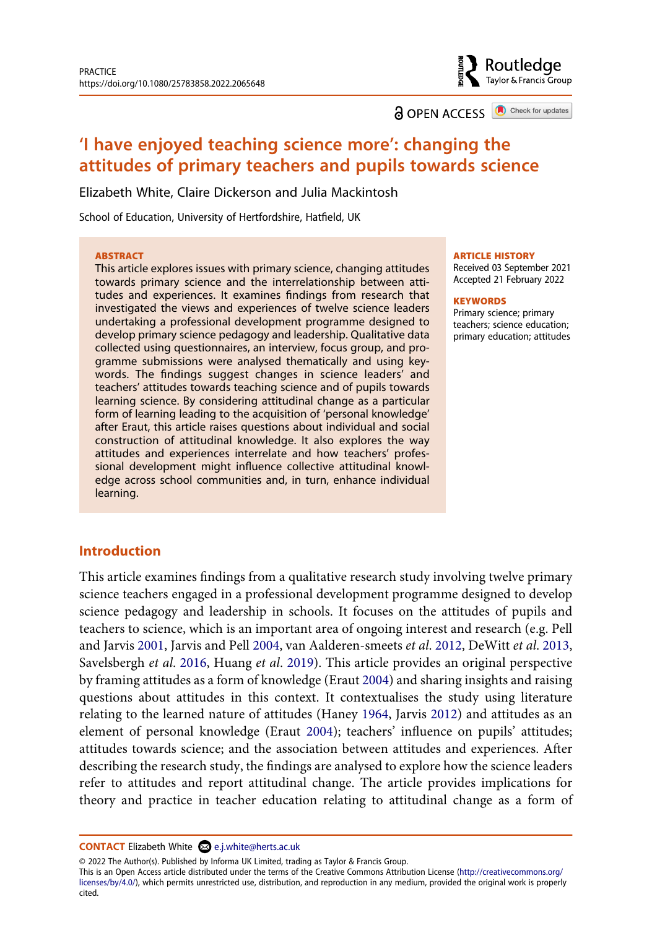Routledge Taylor & Francis Group

**a** OPEN ACCESS **a** Check for updates

## **'I have enjoyed teaching science more': changing the attitudes of primary teachers and pupils towards science**

Elizabeth White, Claire Dickerson and Julia Mackintosh

School of Education, University of Hertfordshire, Hatfield, UK

#### **ABSTRACT**

This article explores issues with primary science, changing attitudes towards primary science and the interrelationship between attitudes and experiences. It examines findings from research that investigated the views and experiences of twelve science leaders undertaking a professional development programme designed to develop primary science pedagogy and leadership. Qualitative data collected using questionnaires, an interview, focus group, and programme submissions were analysed thematically and using keywords. The findings suggest changes in science leaders' and teachers' attitudes towards teaching science and of pupils towards learning science. By considering attitudinal change as a particular form of learning leading to the acquisition of 'personal knowledge' after Eraut, this article raises questions about individual and social construction of attitudinal knowledge. It also explores the way attitudes and experiences interrelate and how teachers' professional development might influence collective attitudinal knowledge across school communities and, in turn, enhance individual learning.

#### **ARTICLE HISTORY**

Received 03 September 2021 Accepted 21 February 2022

#### **KEYWORDS**

Primary science; primary teachers; science education; primary education; attitudes

## **Introduction**

<span id="page-1-3"></span><span id="page-1-2"></span><span id="page-1-0"></span>This article examines findings from a qualitative research study involving twelve primary science teachers engaged in a professional development programme designed to develop science pedagogy and leadership in schools. It focuses on the attitudes of pupils and teachers to science, which is an important area of ongoing interest and research (e.g. Pell and Jarvis [2001](#page-16-0), Jarvis and Pell [2004,](#page-16-1) van Aalderen-smeets *et al*. [2012,](#page-17-0) DeWitt *et al*. [2013,](#page-15-0) Savelsbergh *et al*. [2016](#page-16-2), Huang *et al*. [2019](#page-16-3)). This article provides an original perspective by framing attitudes as a form of knowledge (Eraut [2004](#page-15-1)) and sharing insights and raising questions about attitudes in this context. It contextualises the study using literature relating to the learned nature of attitudes (Haney [1964,](#page-15-2) Jarvis [2012](#page-16-4)) and attitudes as an element of personal knowledge (Eraut [2004](#page-15-1)); teachers' influence on pupils' attitudes; attitudes towards science; and the association between attitudes and experiences. After describing the research study, the findings are analysed to explore how the science leaders refer to attitudes and report attitudinal change. The article provides implications for theory and practice in teacher education relating to attitudinal change as a form of

© 2022 The Author(s). Published by Informa UK Limited, trading as Taylor & Francis Group.

This is an Open Access article distributed under the terms of the Creative Commons Attribution License (http://creativecommons.org/ licenses/by/4.0/), which permits unrestricted use, distribution, and reproduction in any medium, provided the original work is properly cited.

<span id="page-1-1"></span>**CONTACT** Elizabeth White <sup>2</sup> e.j.white@herts.ac.uk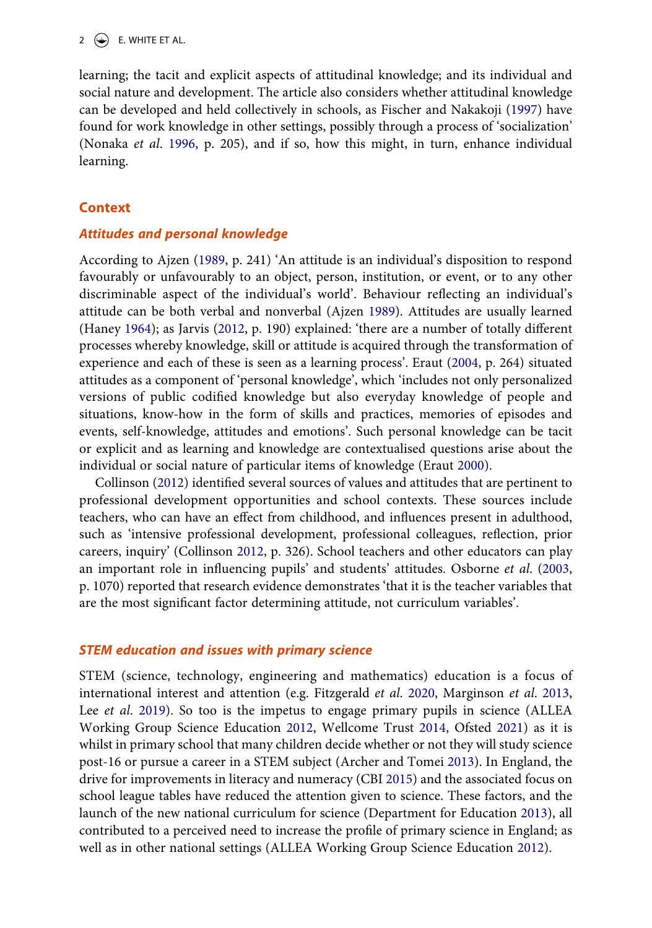## 2  $\left(\frac{1}{2}\right)$  E. WHITE ET AL.

<span id="page-2-10"></span><span id="page-2-7"></span>learning; the tacit and explicit aspects of attitudinal knowledge; and its individual and social nature and development. The article also considers whether attitudinal knowledge can be developed and held collectively in schools, as Fischer and Nakakoji ([1997\)](#page-15-3) have found for work knowledge in other settings, possibly through a process of 'socialization' (Nonaka *et al*. [1996,](#page-16-5) p. 205), and if so, how this might, in turn, enhance individual learning.

## **Context**

## *Attitudes and personal knowledge*

<span id="page-2-0"></span>According to Ajzen [\(1989](#page-14-0), p. 241) 'An attitude is an individual's disposition to respond favourably or unfavourably to an object, person, institution, or event, or to any other discriminable aspect of the individual's world'. Behaviour reflecting an individual's attitude can be both verbal and nonverbal (Ajzen [1989](#page-14-0)). Attitudes are usually learned (Haney [1964](#page-15-2)); as Jarvis ([2012](#page-16-4), p. 190) explained: 'there are a number of totally different processes whereby knowledge, skill or attitude is acquired through the transformation of experience and each of these is seen as a learning process'. Eraut ([2004](#page-15-1), p. 264) situated attitudes as a component of 'personal knowledge', which 'includes not only personalized versions of public codified knowledge but also everyday knowledge of people and situations, know-how in the form of skills and practices, memories of episodes and events, self-knowledge, attitudes and emotions'. Such personal knowledge can be tacit or explicit and as learning and knowledge are contextualised questions arise about the individual or social nature of particular items of knowledge (Eraut [2000](#page-15-4)).

<span id="page-2-12"></span><span id="page-2-6"></span><span id="page-2-4"></span>Collinson [\(2012](#page-15-5)) identified several sources of values and attitudes that are pertinent to professional development opportunities and school contexts. These sources include teachers, who can have an effect from childhood, and influences present in adulthood, such as 'intensive professional development, professional colleagues, reflection, prior careers, inquiry' (Collinson [2012,](#page-15-5) p. 326). School teachers and other educators can play an important role in influencing pupils' and students' attitudes. Osborne *et al*. ([2003,](#page-16-6) p. 1070) reported that research evidence demonstrates 'that it is the teacher variables that are the most significant factor determining attitude, not curriculum variables'.

## *STEM education and issues with primary science*

<span id="page-2-11"></span><span id="page-2-9"></span><span id="page-2-8"></span><span id="page-2-5"></span><span id="page-2-3"></span><span id="page-2-2"></span><span id="page-2-1"></span>STEM (science, technology, engineering and mathematics) education is a focus of international interest and attention (e.g. Fitzgerald *et al*. [2020](#page-15-6), Marginson *et al*. [2013,](#page-16-7) Lee *et al*. [2019](#page-16-8)). So too is the impetus to engage primary pupils in science (ALLEA Working Group Science Education [2012,](#page-14-1) Wellcome Trust [2014,](#page-17-1) Ofsted [2021](#page-16-9)) as it is whilst in primary school that many children decide whether or not they will study science post-16 or pursue a career in a STEM subject (Archer and Tomei [2013\)](#page-15-7). In England, the drive for improvements in literacy and numeracy (CBI [2015](#page-15-8)) and the associated focus on school league tables have reduced the attention given to science. These factors, and the launch of the new national curriculum for science (Department for Education [2013](#page-15-9)), all contributed to a perceived need to increase the profile of primary science in England; as well as in other national settings (ALLEA Working Group Science Education [2012\)](#page-14-1).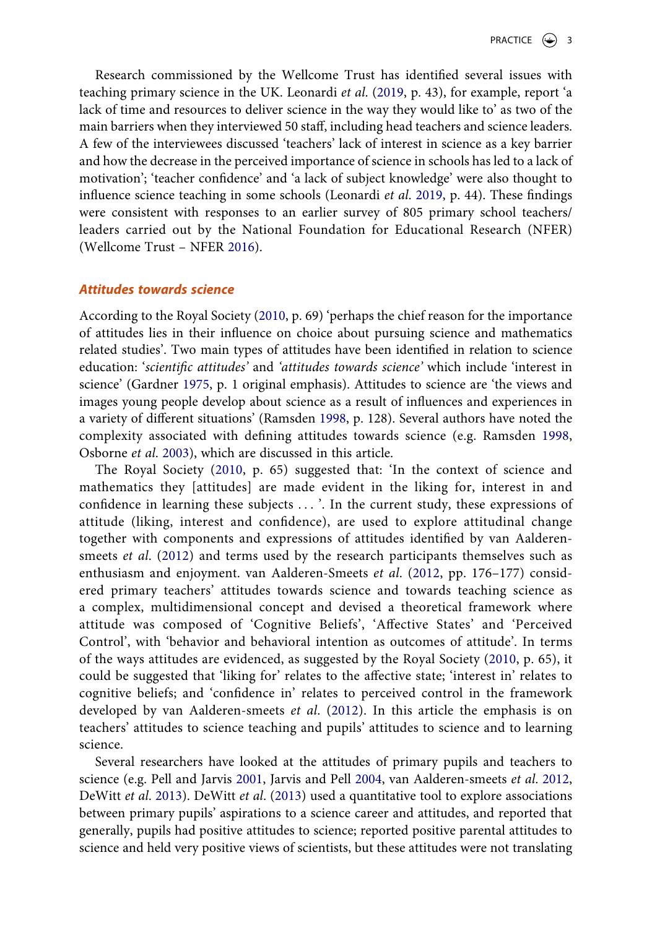Research commissioned by the Wellcome Trust has identified several issues with teaching primary science in the UK. Leonardi *et al*. [\(2019,](#page-16-10) p. 43), for example, report 'a lack of time and resources to deliver science in the way they would like to' as two of the main barriers when they interviewed 50 staff, including head teachers and science leaders. A few of the interviewees discussed 'teachers' lack of interest in science as a key barrier and how the decrease in the perceived importance of science in schools has led to a lack of motivation'; 'teacher confidence' and 'a lack of subject knowledge' were also thought to influence science teaching in some schools (Leonardi *et al*. [2019,](#page-16-10) p. 44). These findings were consistent with responses to an earlier survey of 805 primary school teachers/ leaders carried out by the National Foundation for Educational Research (NFER) (Wellcome Trust – NFER [2016\)](#page-17-2).

## <span id="page-3-4"></span><span id="page-3-1"></span>*Attitudes towards science*

<span id="page-3-0"></span>According to the Royal Society ([2010,](#page-16-11) p. 69) 'perhaps the chief reason for the importance of attitudes lies in their influence on choice about pursuing science and mathematics related studies'. Two main types of attitudes have been identified in relation to science education: '*scientific attitudes'* and *'attitudes towards science'* which include 'interest in science' (Gardner [1975,](#page-15-10) p. 1 original emphasis). Attitudes to science are 'the views and images young people develop about science as a result of influences and experiences in a variety of different situations' (Ramsden [1998,](#page-16-12) p. 128). Several authors have noted the complexity associated with defining attitudes towards science (e.g. Ramsden [1998,](#page-16-12) Osborne *et al*. [2003](#page-16-6)), which are discussed in this article.

<span id="page-3-2"></span>The Royal Society ([2010,](#page-16-11) p. 65) suggested that: 'In the context of science and mathematics they [attitudes] are made evident in the liking for, interest in and confidence in learning these subjects . . . '. In the current study, these expressions of attitude (liking, interest and confidence), are used to explore attitudinal change together with components and expressions of attitudes identified by van Aalderensmeets *et al*. ([2012](#page-17-0)) and terms used by the research participants themselves such as enthusiasm and enjoyment. van Aalderen-Smeets *et al*. [\(2012,](#page-17-0) pp. 176–177) considered primary teachers' attitudes towards science and towards teaching science as a complex, multidimensional concept and devised a theoretical framework where attitude was composed of 'Cognitive Beliefs', 'Affective States' and 'Perceived Control', with 'behavior and behavioral intention as outcomes of attitude'. In terms of the ways attitudes are evidenced, as suggested by the Royal Society ([2010,](#page-16-11) p. 65), it could be suggested that 'liking for' relates to the affective state; 'interest in' relates to cognitive beliefs; and 'confidence in' relates to perceived control in the framework developed by van Aalderen-smeets *et al*. ([2012](#page-17-0)). In this article the emphasis is on teachers' attitudes to science teaching and pupils' attitudes to science and to learning science.

<span id="page-3-3"></span>Several researchers have looked at the attitudes of primary pupils and teachers to science (e.g. Pell and Jarvis [2001,](#page-16-0) Jarvis and Pell [2004,](#page-16-1) van Aalderen-smeets *et al*. [2012,](#page-17-0) DeWitt *et al*. [2013\)](#page-15-0). DeWitt *et al*. [\(2013](#page-15-0)) used a quantitative tool to explore associations between primary pupils' aspirations to a science career and attitudes, and reported that generally, pupils had positive attitudes to science; reported positive parental attitudes to science and held very positive views of scientists, but these attitudes were not translating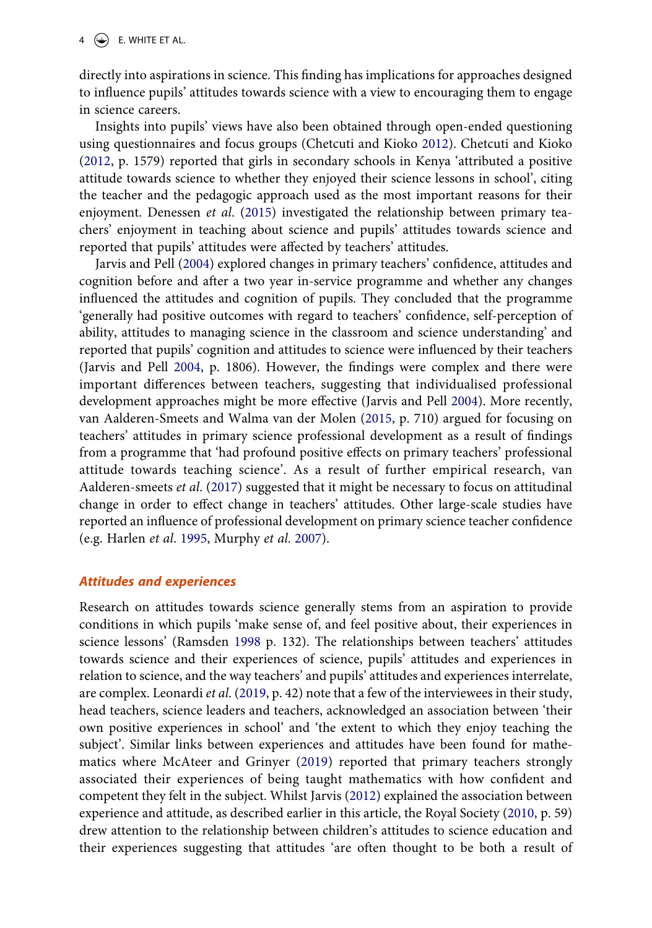directly into aspirations in science. This finding has implications for approaches designed to influence pupils' attitudes towards science with a view to encouraging them to engage in science careers.

<span id="page-4-0"></span>Insights into pupils' views have also been obtained through open-ended questioning using questionnaires and focus groups (Chetcuti and Kioko [2012\)](#page-15-11). Chetcuti and Kioko ([2012,](#page-15-11) p. 1579) reported that girls in secondary schools in Kenya 'attributed a positive attitude towards science to whether they enjoyed their science lessons in school', citing the teacher and the pedagogic approach used as the most important reasons for their enjoyment. Denessen *et al*. [\(2015\)](#page-15-12) investigated the relationship between primary teachers' enjoyment in teaching about science and pupils' attitudes towards science and reported that pupils' attitudes were affected by teachers' attitudes.

<span id="page-4-5"></span><span id="page-4-1"></span>Jarvis and Pell [\(2004\)](#page-16-1) explored changes in primary teachers' confidence, attitudes and cognition before and after a two year in-service programme and whether any changes influenced the attitudes and cognition of pupils. They concluded that the programme 'generally had positive outcomes with regard to teachers' confidence, self-perception of ability, attitudes to managing science in the classroom and science understanding' and reported that pupils' cognition and attitudes to science were influenced by their teachers (Jarvis and Pell [2004,](#page-16-1) p. 1806). However, the findings were complex and there were important differences between teachers, suggesting that individualised professional development approaches might be more effective (Jarvis and Pell [2004\)](#page-16-1). More recently, van Aalderen-Smeets and Walma van der Molen [\(2015,](#page-17-3) p. 710) argued for focusing on teachers' attitudes in primary science professional development as a result of findings from a programme that 'had profound positive effects on primary teachers' professional attitude towards teaching science'. As a result of further empirical research, van Aalderen-smeets *et al*. ([2017\)](#page-17-4) suggested that it might be necessary to focus on attitudinal change in order to effect change in teachers' attitudes. Other large-scale studies have reported an influence of professional development on primary science teacher confidence (e.g. Harlen *et al*. [1995,](#page-15-13) Murphy *et al*. [2007](#page-16-13)).

## <span id="page-4-4"></span><span id="page-4-2"></span>*Attitudes and experiences*

<span id="page-4-3"></span>Research on attitudes towards science generally stems from an aspiration to provide conditions in which pupils 'make sense of, and feel positive about, their experiences in science lessons' (Ramsden [1998](#page-16-12) p. 132). The relationships between teachers' attitudes towards science and their experiences of science, pupils' attitudes and experiences in relation to science, and the way teachers' and pupils' attitudes and experiences interrelate, are complex. Leonardi *et al*. [\(2019](#page-16-10), p. 42) note that a few of the interviewees in their study, head teachers, science leaders and teachers, acknowledged an association between 'their own positive experiences in school' and 'the extent to which they enjoy teaching the subject'. Similar links between experiences and attitudes have been found for mathematics where McAteer and Grinyer ([2019](#page-16-14)) reported that primary teachers strongly associated their experiences of being taught mathematics with how confident and competent they felt in the subject. Whilst Jarvis [\(2012\)](#page-16-4) explained the association between experience and attitude, as described earlier in this article, the Royal Society [\(2010](#page-16-11), p. 59) drew attention to the relationship between children's attitudes to science education and their experiences suggesting that attitudes 'are often thought to be both a result of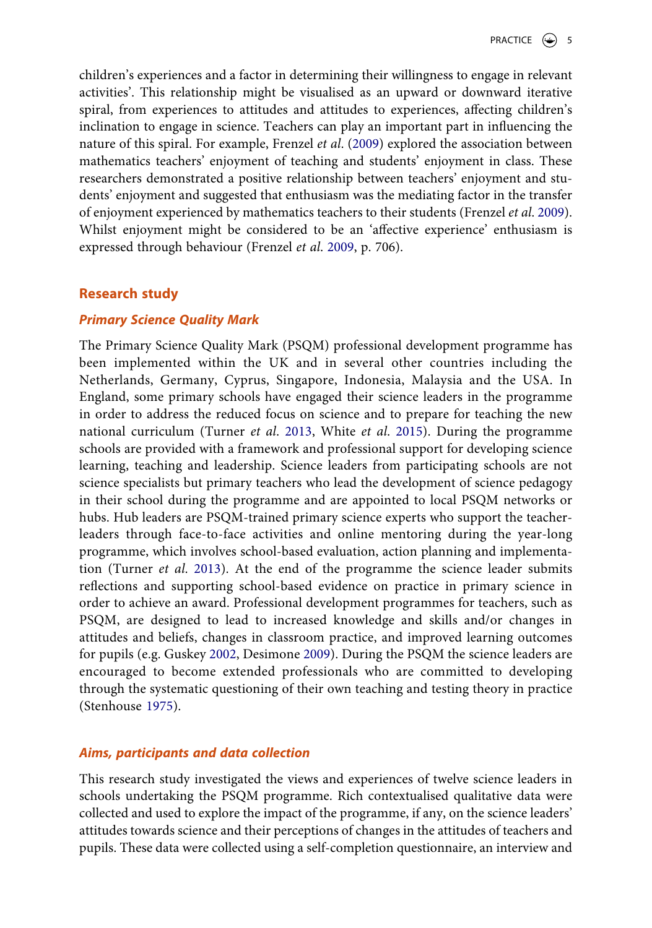children's experiences and a factor in determining their willingness to engage in relevant activities'. This relationship might be visualised as an upward or downward iterative spiral, from experiences to attitudes and attitudes to experiences, affecting children's inclination to engage in science. Teachers can play an important part in influencing the nature of this spiral. For example, Frenzel *et al*. ([2009\)](#page-15-14) explored the association between mathematics teachers' enjoyment of teaching and students' enjoyment in class. These researchers demonstrated a positive relationship between teachers' enjoyment and students' enjoyment and suggested that enthusiasm was the mediating factor in the transfer of enjoyment experienced by mathematics teachers to their students (Frenzel *et al*. [2009](#page-15-14)). Whilst enjoyment might be considered to be an 'affective experience' enthusiasm is expressed through behaviour (Frenzel *et al*. [2009,](#page-15-14) p. 706).

## <span id="page-5-1"></span>**Research study**

## *Primary Science Quality Mark*

<span id="page-5-4"></span>The Primary Science Quality Mark (PSQM) professional development programme has been implemented within the UK and in several other countries including the Netherlands, Germany, Cyprus, Singapore, Indonesia, Malaysia and the USA. In England, some primary schools have engaged their science leaders in the programme in order to address the reduced focus on science and to prepare for teaching the new national curriculum (Turner *et al*. [2013](#page-17-5), White *et al*. [2015\)](#page-17-6). During the programme schools are provided with a framework and professional support for developing science learning, teaching and leadership. Science leaders from participating schools are not science specialists but primary teachers who lead the development of science pedagogy in their school during the programme and are appointed to local PSQM networks or hubs. Hub leaders are PSQM-trained primary science experts who support the teacherleaders through face-to-face activities and online mentoring during the year-long programme, which involves school-based evaluation, action planning and implementation (Turner *et al*. [2013](#page-17-5)). At the end of the programme the science leader submits reflections and supporting school-based evidence on practice in primary science in order to achieve an award. Professional development programmes for teachers, such as PSQM, are designed to lead to increased knowledge and skills and/or changes in attitudes and beliefs, changes in classroom practice, and improved learning outcomes for pupils (e.g. Guskey [2002,](#page-15-15) Desimone [2009\)](#page-15-16). During the PSQM the science leaders are encouraged to become extended professionals who are committed to developing through the systematic questioning of their own teaching and testing theory in practice (Stenhouse [1975\)](#page-17-7).

## <span id="page-5-3"></span><span id="page-5-2"></span><span id="page-5-0"></span>*Aims, participants and data collection*

This research study investigated the views and experiences of twelve science leaders in schools undertaking the PSQM programme. Rich contextualised qualitative data were collected and used to explore the impact of the programme, if any, on the science leaders' attitudes towards science and their perceptions of changes in the attitudes of teachers and pupils. These data were collected using a self-completion questionnaire, an interview and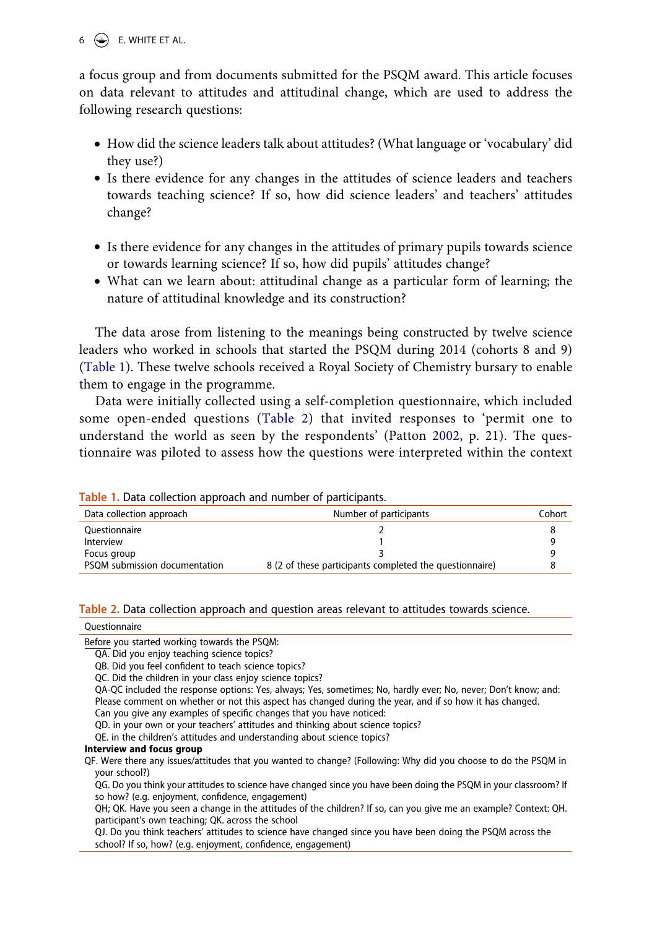$6 \quad \Leftrightarrow$  E. WHITE ET AL.

a focus group and from documents submitted for the PSQM award. This article focuses on data relevant to attitudes and attitudinal change, which are used to address the following research questions:

- How did the science leaders talk about attitudes? (What language or 'vocabulary' did they use?)
- Is there evidence for any changes in the attitudes of science leaders and teachers towards teaching science? If so, how did science leaders' and teachers' attitudes change?
- Is there evidence for any changes in the attitudes of primary pupils towards science or towards learning science? If so, how did pupils' attitudes change?
- What can we learn about: attitudinal change as a particular form of learning; the nature of attitudinal knowledge and its construction?

The data arose from listening to the meanings being constructed by twelve science leaders who worked in schools that started the PSQM during 2014 (cohorts 8 and 9) ([Table 1](#page-6-0)). These twelve schools received a Royal Society of Chemistry bursary to enable them to engage in the programme.

<span id="page-6-2"></span>Data were initially collected using a self-completion questionnaire, which included some open-ended questions ([Table 2\)](#page-6-1) that invited responses to 'permit one to understand the world as seen by the respondents' (Patton [2002,](#page-16-15) p. 21). The questionnaire was piloted to assess how the questions were interpreted within the context

| Table 1. Data concentration approach and humber of participants. |                                                         |        |  |
|------------------------------------------------------------------|---------------------------------------------------------|--------|--|
| Data collection approach                                         | Number of participants                                  | Cohort |  |
| Ouestionnaire                                                    |                                                         |        |  |
| Interview                                                        |                                                         |        |  |
| Focus group                                                      |                                                         |        |  |
| PSOM submission documentation                                    | 8 (2 of these participants completed the questionnaire) |        |  |

<span id="page-6-0"></span>**Table 1.** Data collection approach and number of participants.

#### <span id="page-6-1"></span>**Table 2.** Data collection approach and question areas relevant to attitudes towards science.

#### **Ouestionnaire**

Before you started working towards the PSQM:

QE. in the children's attitudes and understanding about science topics?

#### **Interview and focus group**

QF. Were there any issues/attitudes that you wanted to change? (Following: Why did you choose to do the PSQM in your school?)

QG. Do you think your attitudes to science have changed since you have been doing the PSQM in your classroom? If so how? (e.g. enjoyment, confidence, engagement)

QH; QK. Have you seen a change in the attitudes of the children? If so, can you give me an example? Context: QH. participant's own teaching; QK. across the school

QJ. Do you think teachers' attitudes to science have changed since you have been doing the PSQM across the school? If so, how? (e.g. enjoyment, confidence, engagement)

QA. Did you enjoy teaching science topics?

QB. Did you feel confident to teach science topics?

QC. Did the children in your class enjoy science topics?

QA-QC included the response options: Yes, always; Yes, sometimes; No, hardly ever; No, never; Don't know; and: Please comment on whether or not this aspect has changed during the year, and if so how it has changed. Can you give any examples of specific changes that you have noticed:

QD. in your own or your teachers' attitudes and thinking about science topics?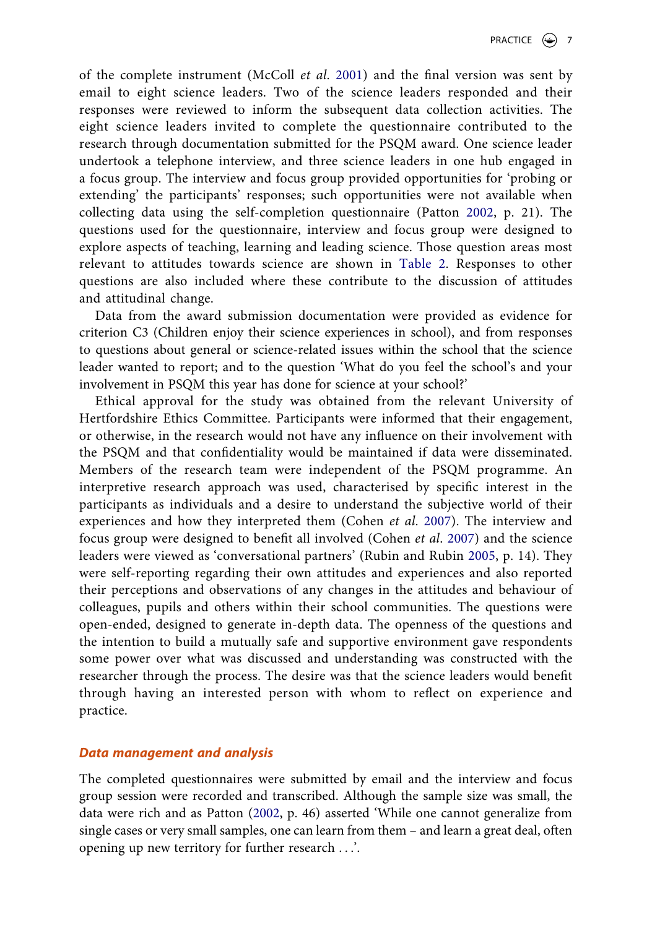<span id="page-7-1"></span>of the complete instrument (McColl *et al*. [2001\)](#page-16-16) and the final version was sent by email to eight science leaders. Two of the science leaders responded and their responses were reviewed to inform the subsequent data collection activities. The eight science leaders invited to complete the questionnaire contributed to the research through documentation submitted for the PSQM award. One science leader undertook a telephone interview, and three science leaders in one hub engaged in a focus group. The interview and focus group provided opportunities for 'probing or extending' the participants' responses; such opportunities were not available when collecting data using the self-completion questionnaire (Patton [2002,](#page-16-15) p. 21). The questions used for the questionnaire, interview and focus group were designed to explore aspects of teaching, learning and leading science. Those question areas most relevant to attitudes towards science are shown in [Table 2](#page-6-1). Responses to other questions are also included where these contribute to the discussion of attitudes and attitudinal change.

Data from the award submission documentation were provided as evidence for criterion C3 (Children enjoy their science experiences in school), and from responses to questions about general or science-related issues within the school that the science leader wanted to report; and to the question 'What do you feel the school's and your involvement in PSQM this year has done for science at your school?'

<span id="page-7-2"></span><span id="page-7-0"></span>Ethical approval for the study was obtained from the relevant University of Hertfordshire Ethics Committee. Participants were informed that their engagement, or otherwise, in the research would not have any influence on their involvement with the PSQM and that confidentiality would be maintained if data were disseminated. Members of the research team were independent of the PSQM programme. An interpretive research approach was used, characterised by specific interest in the participants as individuals and a desire to understand the subjective world of their experiences and how they interpreted them (Cohen *et al*. [2007](#page-15-17)). The interview and focus group were designed to benefit all involved (Cohen *et al*. [2007](#page-15-17)) and the science leaders were viewed as 'conversational partners' (Rubin and Rubin [2005,](#page-16-17) p. 14). They were self-reporting regarding their own attitudes and experiences and also reported their perceptions and observations of any changes in the attitudes and behaviour of colleagues, pupils and others within their school communities. The questions were open-ended, designed to generate in-depth data. The openness of the questions and the intention to build a mutually safe and supportive environment gave respondents some power over what was discussed and understanding was constructed with the researcher through the process. The desire was that the science leaders would benefit through having an interested person with whom to reflect on experience and practice.

## *Data management and analysis*

The completed questionnaires were submitted by email and the interview and focus group session were recorded and transcribed. Although the sample size was small, the data were rich and as Patton [\(2002,](#page-16-15) p. 46) asserted 'While one cannot generalize from single cases or very small samples, one can learn from them – and learn a great deal, often opening up new territory for further research . . .'.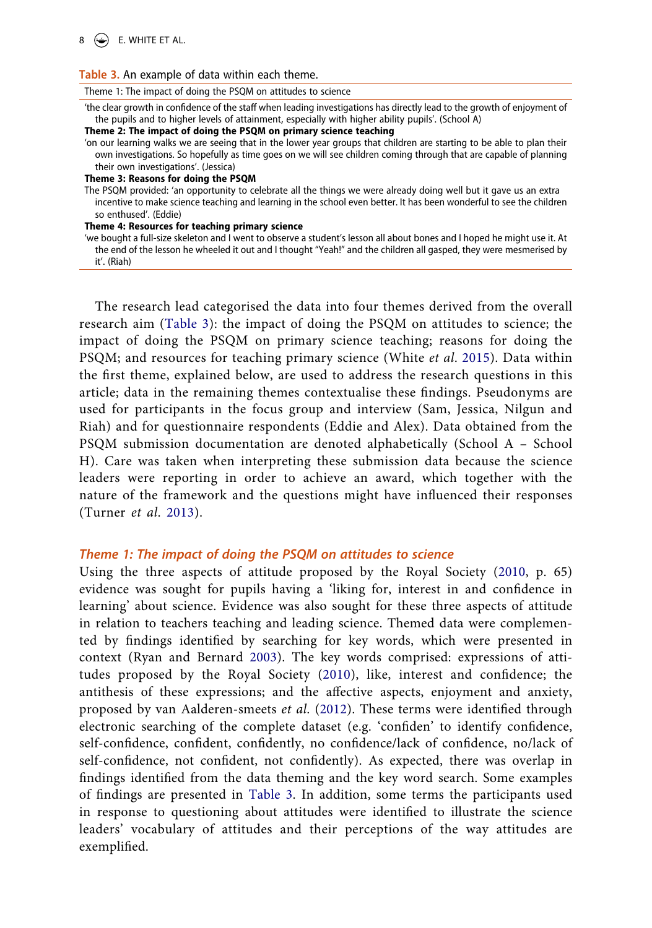### $8 \quad \circled{4}$  E. WHITE ET AL.

#### <span id="page-8-0"></span>**Table 3.** An example of data within each theme.

Theme 1: The impact of doing the PSQM on attitudes to science

'the clear growth in confidence of the staff when leading investigations has directly lead to the growth of enjoyment of the pupils and to higher levels of attainment, especially with higher ability pupils'. (School A)

**Theme 2: The impact of doing the PSQM on primary science teaching**

'on our learning walks we are seeing that in the lower year groups that children are starting to be able to plan their own investigations. So hopefully as time goes on we will see children coming through that are capable of planning their own investigations'. (Jessica)

**Theme 3: Reasons for doing the PSQM**

The PSQM provided: 'an opportunity to celebrate all the things we were already doing well but it gave us an extra incentive to make science teaching and learning in the school even better. It has been wonderful to see the children so enthused'. (Eddie)

**Theme 4: Resources for teaching primary science**

'we bought a full-size skeleton and I went to observe a student's lesson all about bones and I hoped he might use it. At the end of the lesson he wheeled it out and I thought "Yeah!" and the children all gasped, they were mesmerised by it'. (Riah)

The research lead categorised the data into four themes derived from the overall research aim ([Table 3](#page-8-0)): the impact of doing the PSQM on attitudes to science; the impact of doing the PSQM on primary science teaching; reasons for doing the PSQM; and resources for teaching primary science (White *et al*. [2015\)](#page-17-6). Data within the first theme, explained below, are used to address the research questions in this article; data in the remaining themes contextualise these findings. Pseudonyms are used for participants in the focus group and interview (Sam, Jessica, Nilgun and Riah) and for questionnaire respondents (Eddie and Alex). Data obtained from the PSQM submission documentation are denoted alphabetically (School A – School H). Care was taken when interpreting these submission data because the science leaders were reporting in order to achieve an award, which together with the nature of the framework and the questions might have influenced their responses (Turner *et al*. [2013](#page-17-5)).

## *Theme 1: The impact of doing the PSQM on attitudes to science*

<span id="page-8-1"></span>Using the three aspects of attitude proposed by the Royal Society [\(2010,](#page-16-11) p. 65) evidence was sought for pupils having a 'liking for, interest in and confidence in learning' about science. Evidence was also sought for these three aspects of attitude in relation to teachers teaching and leading science. Themed data were complemented by findings identified by searching for key words, which were presented in context (Ryan and Bernard [2003\)](#page-16-18). The key words comprised: expressions of attitudes proposed by the Royal Society [\(2010](#page-16-11)), like, interest and confidence; the antithesis of these expressions; and the affective aspects, enjoyment and anxiety, proposed by van Aalderen-smeets *et al*. ([2012\)](#page-17-0). These terms were identified through electronic searching of the complete dataset (e.g. 'confiden' to identify confidence, self-confidence, confident, confidently, no confidence/lack of confidence, no/lack of self-confidence, not confident, not confidently). As expected, there was overlap in findings identified from the data theming and the key word search. Some examples of findings are presented in [Table 3](#page-8-0). In addition, some terms the participants used in response to questioning about attitudes were identified to illustrate the science leaders' vocabulary of attitudes and their perceptions of the way attitudes are exemplified.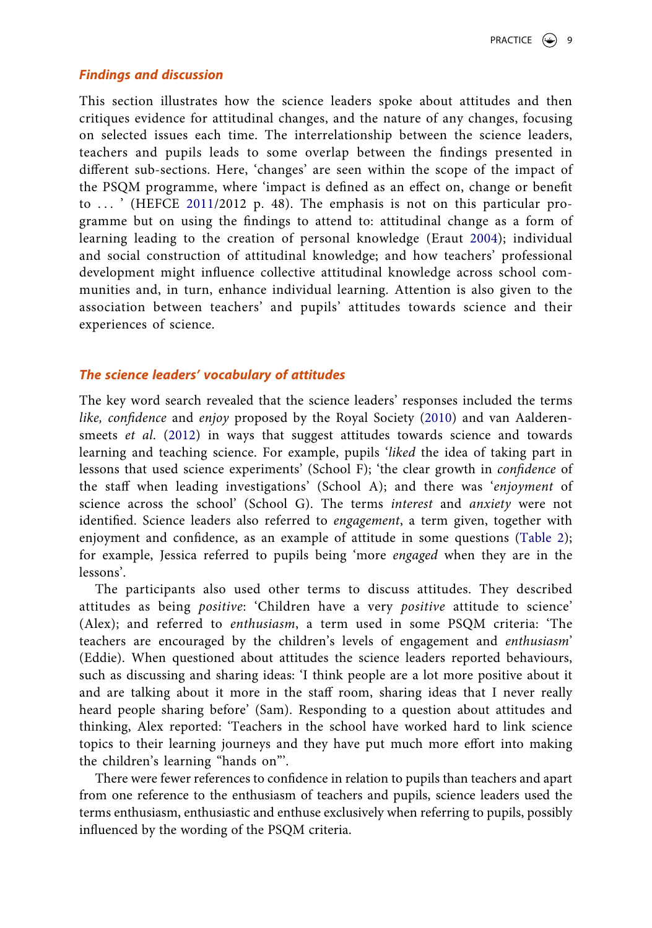## *Findings and discussion*

<span id="page-9-0"></span>This section illustrates how the science leaders spoke about attitudes and then critiques evidence for attitudinal changes, and the nature of any changes, focusing on selected issues each time. The interrelationship between the science leaders, teachers and pupils leads to some overlap between the findings presented in different sub-sections. Here, 'changes' are seen within the scope of the impact of the PSQM programme, where 'impact is defined as an effect on, change or benefit to ... ' (HEFCE [2011](#page-16-19)/2012 p. 48). The emphasis is not on this particular programme but on using the findings to attend to: attitudinal change as a form of learning leading to the creation of personal knowledge (Eraut [2004\)](#page-15-1); individual and social construction of attitudinal knowledge; and how teachers' professional development might influence collective attitudinal knowledge across school communities and, in turn, enhance individual learning. Attention is also given to the association between teachers' and pupils' attitudes towards science and their experiences of science.

## *The science leaders' vocabulary of attitudes*

The key word search revealed that the science leaders' responses included the terms *like, confidence* and *enjoy* proposed by the Royal Society ([2010](#page-16-11)) and van Aalderensmeets *et al*. ([2012](#page-17-0)) in ways that suggest attitudes towards science and towards learning and teaching science. For example, pupils '*liked* the idea of taking part in lessons that used science experiments' (School F); 'the clear growth in *confidence* of the staff when leading investigations' (School A); and there was '*enjoyment* of science across the school' (School G). The terms *interest* and *anxiety* were not identified. Science leaders also referred to *engagement*, a term given, together with enjoyment and confidence, as an example of attitude in some questions [\(Table 2](#page-6-1)); for example, Jessica referred to pupils being 'more *engaged* when they are in the lessons'.

The participants also used other terms to discuss attitudes. They described attitudes as being *positive*: 'Children have a very *positive* attitude to science' (Alex); and referred to *enthusiasm*, a term used in some PSQM criteria: 'The teachers are encouraged by the children's levels of engagement and *enthusiasm*' (Eddie). When questioned about attitudes the science leaders reported behaviours, such as discussing and sharing ideas: 'I think people are a lot more positive about it and are talking about it more in the staff room, sharing ideas that I never really heard people sharing before' (Sam). Responding to a question about attitudes and thinking, Alex reported: 'Teachers in the school have worked hard to link science topics to their learning journeys and they have put much more effort into making the children's learning "hands on"'.

There were fewer references to confidence in relation to pupils than teachers and apart from one reference to the enthusiasm of teachers and pupils, science leaders used the terms enthusiasm, enthusiastic and enthuse exclusively when referring to pupils, possibly influenced by the wording of the PSQM criteria.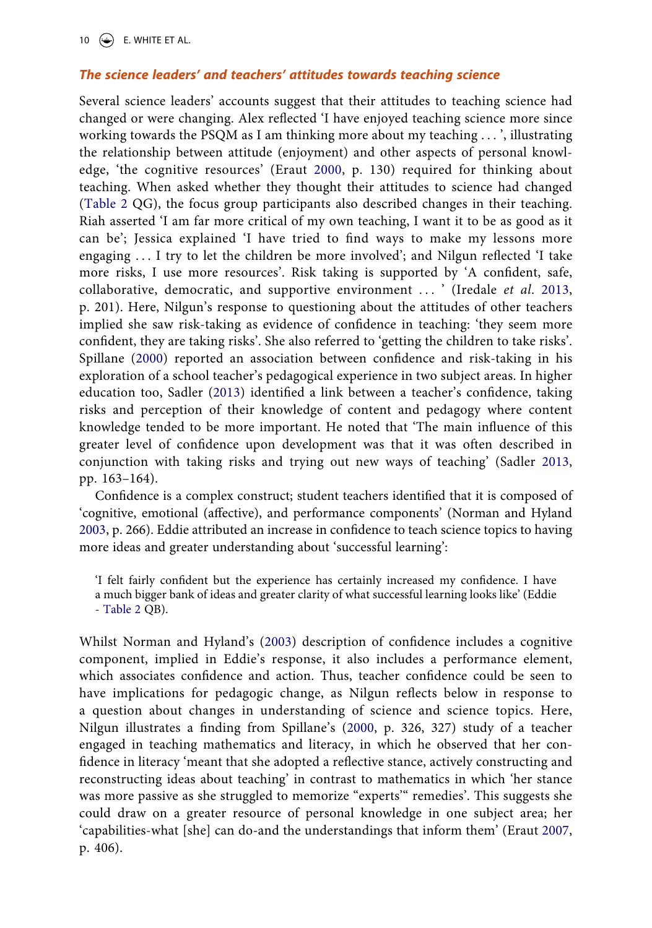10  $\left(\frac{1}{2}\right)$  E. WHITE ET AL.

## *The science leaders' and teachers' attitudes towards teaching science*

<span id="page-10-1"></span>Several science leaders' accounts suggest that their attitudes to teaching science had changed or were changing. Alex reflected 'I have enjoyed teaching science more since working towards the PSQM as I am thinking more about my teaching . . . ', illustrating the relationship between attitude (enjoyment) and other aspects of personal knowledge, 'the cognitive resources' (Eraut [2000,](#page-15-4) p. 130) required for thinking about teaching. When asked whether they thought their attitudes to science had changed ([Table 2](#page-6-1) QG), the focus group participants also described changes in their teaching. Riah asserted 'I am far more critical of my own teaching, I want it to be as good as it can be'; Jessica explained 'I have tried to find ways to make my lessons more engaging . . . I try to let the children be more involved'; and Nilgun reflected 'I take more risks, I use more resources'. Risk taking is supported by 'A confident, safe, collaborative, democratic, and supportive environment . . . ' (Iredale *et al*. [2013,](#page-16-20) p. 201). Here, Nilgun's response to questioning about the attitudes of other teachers implied she saw risk-taking as evidence of confidence in teaching: 'they seem more confident, they are taking risks'. She also referred to 'getting the children to take risks'. Spillane ([2000](#page-17-8)) reported an association between confidence and risk-taking in his exploration of a school teacher's pedagogical experience in two subject areas. In higher education too, Sadler [\(2013\)](#page-16-21) identified a link between a teacher's confidence, taking risks and perception of their knowledge of content and pedagogy where content knowledge tended to be more important. He noted that 'The main influence of this greater level of confidence upon development was that it was often described in conjunction with taking risks and trying out new ways of teaching' (Sadler [2013,](#page-16-21) pp. 163–164).

<span id="page-10-3"></span>Confidence is a complex construct; student teachers identified that it is composed of 'cognitive, emotional (affective), and performance components' (Norman and Hyland [2003](#page-16-22), p. 266). Eddie attributed an increase in confidence to teach science topics to having more ideas and greater understanding about 'successful learning':

<span id="page-10-4"></span><span id="page-10-2"></span><span id="page-10-0"></span>Whilst Norman and Hyland's [\(2003\)](#page-16-22) description of confidence includes a cognitive component, implied in Eddie's response, it also includes a performance element, which associates confidence and action. Thus, teacher confidence could be seen to have implications for pedagogic change, as Nilgun reflects below in response to a question about changes in understanding of science and science topics. Here, Nilgun illustrates a finding from Spillane's ([2000](#page-17-8), p. 326, 327) study of a teacher engaged in teaching mathematics and literacy, in which he observed that her confidence in literacy 'meant that she adopted a reflective stance, actively constructing and reconstructing ideas about teaching' in contrast to mathematics in which 'her stance was more passive as she struggled to memorize "experts'" remedies'. This suggests she could draw on a greater resource of personal knowledge in one subject area; her 'capabilities-what [she] can do-and the understandings that inform them' (Eraut [2007,](#page-15-18) p. 406).

<sup>&#</sup>x27;I felt fairly confident but the experience has certainly increased my confidence. I have a much bigger bank of ideas and greater clarity of what successful learning looks like' (Eddie - [Table 2](#page-6-1) QB).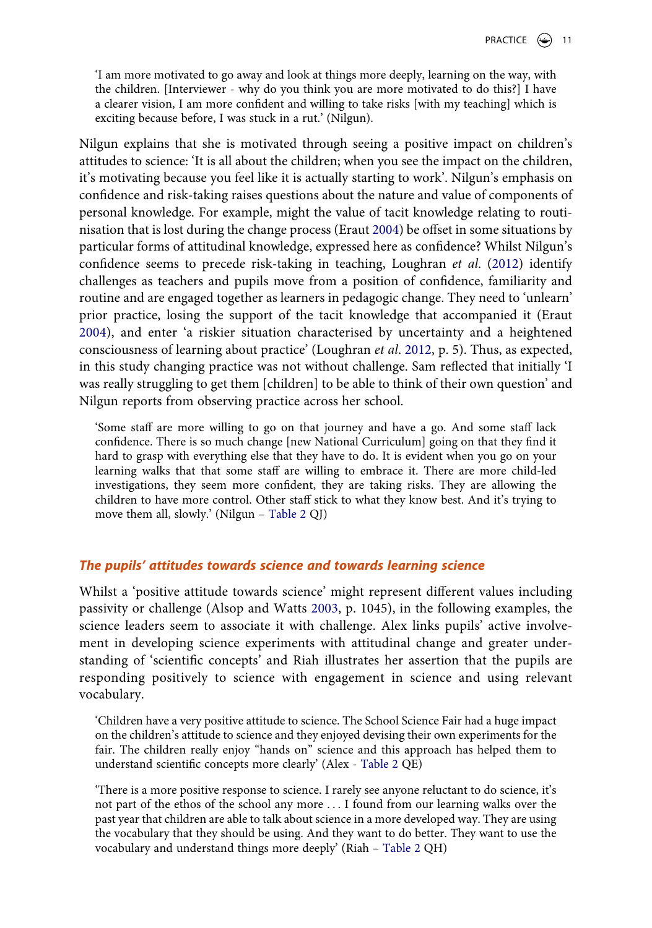'I am more motivated to go away and look at things more deeply, learning on the way, with the children. [Interviewer - why do you think you are more motivated to do this?] I have a clearer vision, I am more confident and willing to take risks [with my teaching] which is exciting because before, I was stuck in a rut.' (Nilgun).

Nilgun explains that she is motivated through seeing a positive impact on children's attitudes to science: 'It is all about the children; when you see the impact on the children, it's motivating because you feel like it is actually starting to work'. Nilgun's emphasis on confidence and risk-taking raises questions about the nature and value of components of personal knowledge. For example, might the value of tacit knowledge relating to routinisation that is lost during the change process (Eraut [2004\)](#page-15-1) be offset in some situations by particular forms of attitudinal knowledge, expressed here as confidence? Whilst Nilgun's confidence seems to precede risk-taking in teaching, Loughran *et al*. [\(2012\)](#page-16-23) identify challenges as teachers and pupils move from a position of confidence, familiarity and routine and are engaged together as learners in pedagogic change. They need to 'unlearn' prior practice, losing the support of the tacit knowledge that accompanied it (Eraut [2004\)](#page-15-1), and enter 'a riskier situation characterised by uncertainty and a heightened consciousness of learning about practice' (Loughran *et al*. [2012,](#page-16-23) p. 5). Thus, as expected, in this study changing practice was not without challenge. Sam reflected that initially 'I was really struggling to get them [children] to be able to think of their own question' and Nilgun reports from observing practice across her school.

<span id="page-11-1"></span>'Some staff are more willing to go on that journey and have a go. And some staff lack confidence. There is so much change [new National Curriculum] going on that they find it hard to grasp with everything else that they have to do. It is evident when you go on your learning walks that that some staff are willing to embrace it. There are more child-led investigations, they seem more confident, they are taking risks. They are allowing the children to have more control. Other staff stick to what they know best. And it's trying to move them all, slowly.' (Nilgun – [Table 2](#page-6-1) QJ)

## *The pupils' attitudes towards science and towards learning science*

<span id="page-11-0"></span>Whilst a 'positive attitude towards science' might represent different values including passivity or challenge (Alsop and Watts [2003,](#page-15-19) p. 1045), in the following examples, the science leaders seem to associate it with challenge. Alex links pupils' active involvement in developing science experiments with attitudinal change and greater understanding of 'scientific concepts' and Riah illustrates her assertion that the pupils are responding positively to science with engagement in science and using relevant vocabulary.

'Children have a very positive attitude to science. The School Science Fair had a huge impact on the children's attitude to science and they enjoyed devising their own experiments for the fair. The children really enjoy "hands on" science and this approach has helped them to understand scientific concepts more clearly' (Alex - [Table 2](#page-6-1) QE)

'There is a more positive response to science. I rarely see anyone reluctant to do science, it's not part of the ethos of the school any more . . . I found from our learning walks over the past year that children are able to talk about science in a more developed way. They are using the vocabulary that they should be using. And they want to do better. They want to use the vocabulary and understand things more deeply' (Riah – [Table 2](#page-6-1) QH)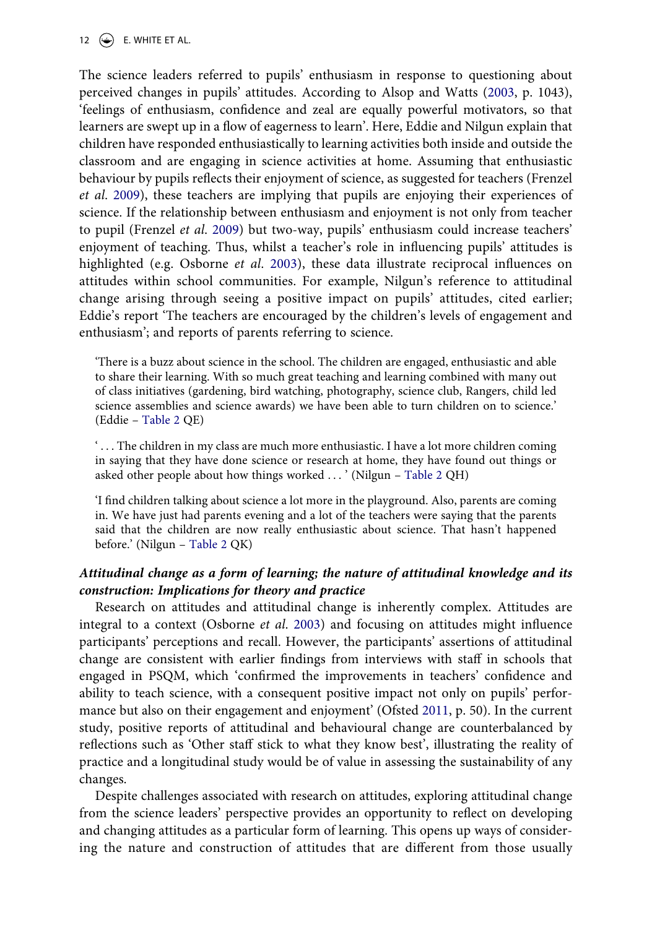12  $\left(\rightarrow\right)$  E. WHITE ET AL.

The science leaders referred to pupils' enthusiasm in response to questioning about perceived changes in pupils' attitudes. According to Alsop and Watts [\(2003](#page-15-19), p. 1043), 'feelings of enthusiasm, confidence and zeal are equally powerful motivators, so that learners are swept up in a flow of eagerness to learn'. Here, Eddie and Nilgun explain that children have responded enthusiastically to learning activities both inside and outside the classroom and are engaging in science activities at home. Assuming that enthusiastic behaviour by pupils reflects their enjoyment of science, as suggested for teachers (Frenzel *et al*. [2009\)](#page-15-14), these teachers are implying that pupils are enjoying their experiences of science. If the relationship between enthusiasm and enjoyment is not only from teacher to pupil (Frenzel *et al*. [2009\)](#page-15-14) but two-way, pupils' enthusiasm could increase teachers' enjoyment of teaching. Thus, whilst a teacher's role in influencing pupils' attitudes is highlighted (e.g. Osborne *et al*. [2003\)](#page-16-6), these data illustrate reciprocal influences on attitudes within school communities. For example, Nilgun's reference to attitudinal change arising through seeing a positive impact on pupils' attitudes, cited earlier; Eddie's report 'The teachers are encouraged by the children's levels of engagement and enthusiasm'; and reports of parents referring to science.

'There is a buzz about science in the school. The children are engaged, enthusiastic and able to share their learning. With so much great teaching and learning combined with many out of class initiatives (gardening, bird watching, photography, science club, Rangers, child led science assemblies and science awards) we have been able to turn children on to science.' (Eddie – [Table 2](#page-6-1) QE)

' . . . The children in my class are much more enthusiastic. I have a lot more children coming in saying that they have done science or research at home, they have found out things or asked other people about how things worked . . . ' (Nilgun – [Table 2](#page-6-1) QH)

'I find children talking about science a lot more in the playground. Also, parents are coming in. We have just had parents evening and a lot of the teachers were saying that the parents said that the children are now really enthusiastic about science. That hasn't happened before.' (Nilgun – [Table 2](#page-6-1) QK)

## *Attitudinal change as a form of learning; the nature of attitudinal knowledge and its construction: Implications for theory and practice*

Research on attitudes and attitudinal change is inherently complex. Attitudes are integral to a context (Osborne *et al*. [2003](#page-16-6)) and focusing on attitudes might influence participants' perceptions and recall. However, the participants' assertions of attitudinal change are consistent with earlier findings from interviews with staff in schools that engaged in PSQM, which 'confirmed the improvements in teachers' confidence and ability to teach science, with a consequent positive impact not only on pupils' performance but also on their engagement and enjoyment' (Ofsted [2011,](#page-16-24) p. 50). In the current study, positive reports of attitudinal and behavioural change are counterbalanced by reflections such as 'Other staff stick to what they know best', illustrating the reality of practice and a longitudinal study would be of value in assessing the sustainability of any changes.

<span id="page-12-0"></span>Despite challenges associated with research on attitudes, exploring attitudinal change from the science leaders' perspective provides an opportunity to reflect on developing and changing attitudes as a particular form of learning. This opens up ways of considering the nature and construction of attitudes that are different from those usually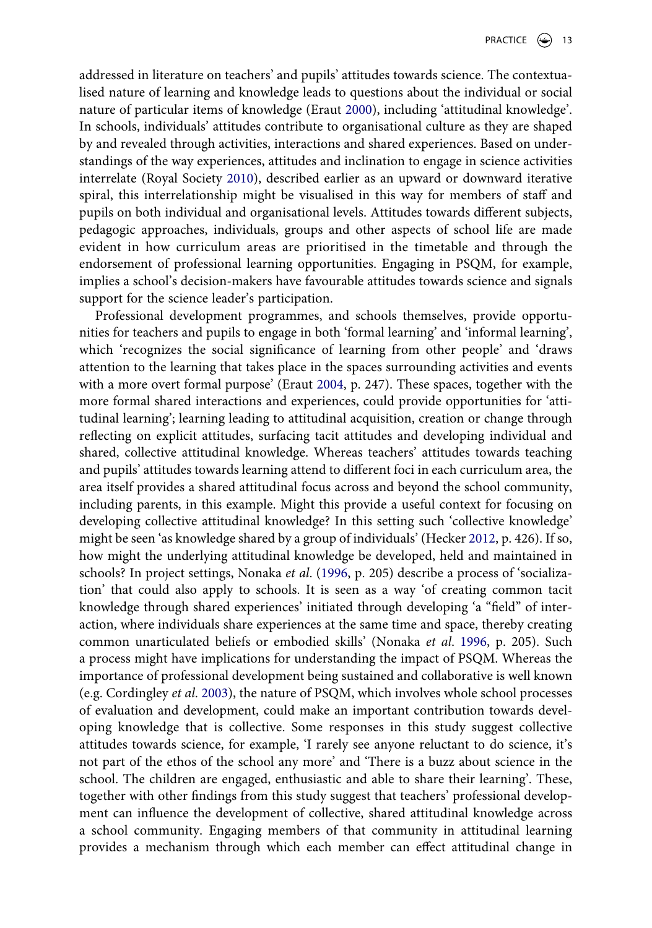addressed in literature on teachers' and pupils' attitudes towards science. The contextualised nature of learning and knowledge leads to questions about the individual or social nature of particular items of knowledge (Eraut [2000\)](#page-15-4), including 'attitudinal knowledge'. In schools, individuals' attitudes contribute to organisational culture as they are shaped by and revealed through activities, interactions and shared experiences. Based on understandings of the way experiences, attitudes and inclination to engage in science activities interrelate (Royal Society [2010\)](#page-16-11), described earlier as an upward or downward iterative spiral, this interrelationship might be visualised in this way for members of staff and pupils on both individual and organisational levels. Attitudes towards different subjects, pedagogic approaches, individuals, groups and other aspects of school life are made evident in how curriculum areas are prioritised in the timetable and through the endorsement of professional learning opportunities. Engaging in PSQM, for example, implies a school's decision-makers have favourable attitudes towards science and signals support for the science leader's participation.

<span id="page-13-1"></span><span id="page-13-0"></span>Professional development programmes, and schools themselves, provide opportunities for teachers and pupils to engage in both 'formal learning' and 'informal learning', which 'recognizes the social significance of learning from other people' and 'draws attention to the learning that takes place in the spaces surrounding activities and events with a more overt formal purpose' (Eraut [2004,](#page-15-1) p. 247). These spaces, together with the more formal shared interactions and experiences, could provide opportunities for 'attitudinal learning'; learning leading to attitudinal acquisition, creation or change through reflecting on explicit attitudes, surfacing tacit attitudes and developing individual and shared, collective attitudinal knowledge. Whereas teachers' attitudes towards teaching and pupils' attitudes towards learning attend to different foci in each curriculum area, the area itself provides a shared attitudinal focus across and beyond the school community, including parents, in this example. Might this provide a useful context for focusing on developing collective attitudinal knowledge? In this setting such 'collective knowledge' might be seen 'as knowledge shared by a group of individuals' (Hecker [2012,](#page-15-20) p. 426). If so, how might the underlying attitudinal knowledge be developed, held and maintained in schools? In project settings, Nonaka *et al*. ([1996](#page-16-5), p. 205) describe a process of 'socialization' that could also apply to schools. It is seen as a way 'of creating common tacit knowledge through shared experiences' initiated through developing 'a "field" of interaction, where individuals share experiences at the same time and space, thereby creating common unarticulated beliefs or embodied skills' (Nonaka *et al*. [1996,](#page-16-5) p. 205). Such a process might have implications for understanding the impact of PSQM. Whereas the importance of professional development being sustained and collaborative is well known (e.g. Cordingley *et al*. [2003\)](#page-15-21), the nature of PSQM, which involves whole school processes of evaluation and development, could make an important contribution towards developing knowledge that is collective. Some responses in this study suggest collective attitudes towards science, for example, 'I rarely see anyone reluctant to do science, it's not part of the ethos of the school any more' and 'There is a buzz about science in the school. The children are engaged, enthusiastic and able to share their learning'. These, together with other findings from this study suggest that teachers' professional development can influence the development of collective, shared attitudinal knowledge across a school community. Engaging members of that community in attitudinal learning provides a mechanism through which each member can effect attitudinal change in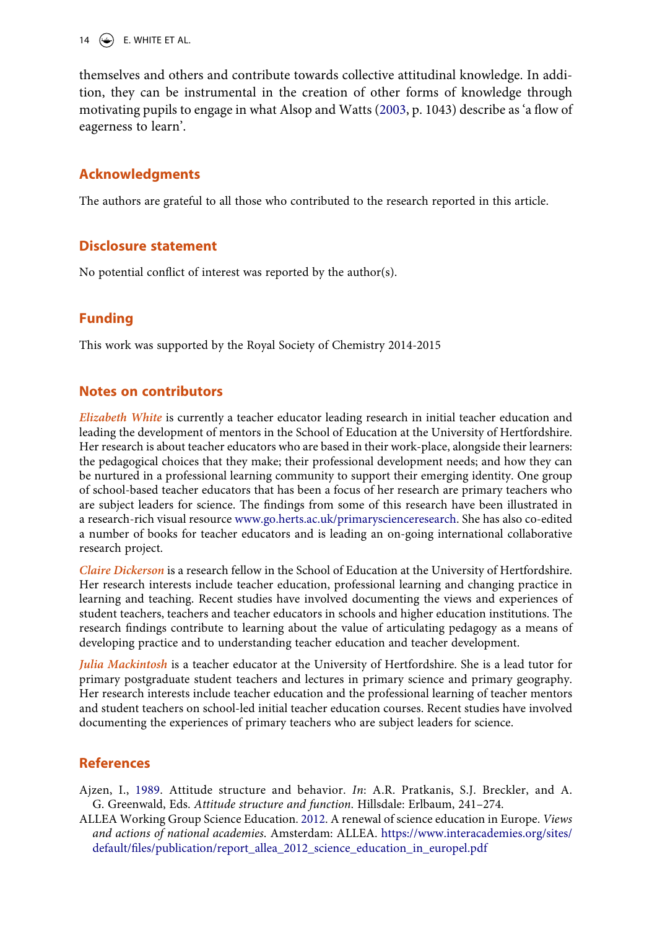14  $\left(\rightarrow\right)$  E. WHITE ET AL.

themselves and others and contribute towards collective attitudinal knowledge. In addition, they can be instrumental in the creation of other forms of knowledge through motivating pupils to engage in what Alsop and Watts [\(2003](#page-15-19), p. 1043) describe as 'a flow of eagerness to learn'.

## **Acknowledgments**

The authors are grateful to all those who contributed to the research reported in this article.

## **Disclosure statement**

No potential conflict of interest was reported by the author(s).

## **Funding**

This work was supported by the Royal Society of Chemistry 2014-2015

## **Notes on contributors**

*Elizabeth White* is currently a teacher educator leading research in initial teacher education and leading the development of mentors in the School of Education at the University of Hertfordshire. Her research is about teacher educators who are based in their work-place, alongside their learners: the pedagogical choices that they make; their professional development needs; and how they can be nurtured in a professional learning community to support their emerging identity. One group of school-based teacher educators that has been a focus of her research are primary teachers who are subject leaders for science. The findings from some of this research have been illustrated in a research-rich visual resource www.go.herts.ac.uk/primaryscienceresearch. She has also co-edited a number of books for teacher educators and is leading an on-going international collaborative research project.

*Claire Dickerson* is a research fellow in the School of Education at the University of Hertfordshire. Her research interests include teacher education, professional learning and changing practice in learning and teaching. Recent studies have involved documenting the views and experiences of student teachers, teachers and teacher educators in schools and higher education institutions. The research findings contribute to learning about the value of articulating pedagogy as a means of developing practice and to understanding teacher education and teacher development.

*Julia Mackintosh* is a teacher educator at the University of Hertfordshire. She is a lead tutor for primary postgraduate student teachers and lectures in primary science and primary geography. Her research interests include teacher education and the professional learning of teacher mentors and student teachers on school-led initial teacher education courses. Recent studies have involved documenting the experiences of primary teachers who are subject leaders for science.

## **References**

<span id="page-14-0"></span>Ajzen, I., [1989](#page-2-0). Attitude structure and behavior. *In*: A.R. Pratkanis, S.J. Breckler, and A. G. Greenwald, Eds. *Attitude structure and function*. Hillsdale: Erlbaum, 241–274.

<span id="page-14-1"></span>ALLEA Working Group Science Education. [2012](#page-2-1). A renewal of science education in Europe. *Views and actions of national academies*. Amsterdam: ALLEA. [https://www.interacademies.org/sites/](https://www.interacademies.org/sites/default/files/publication/report_allea_2012_science_education_in_europel.pdf) [default/files/publication/report\\_allea\\_2012\\_science\\_education\\_in\\_europel.pdf](https://www.interacademies.org/sites/default/files/publication/report_allea_2012_science_education_in_europel.pdf)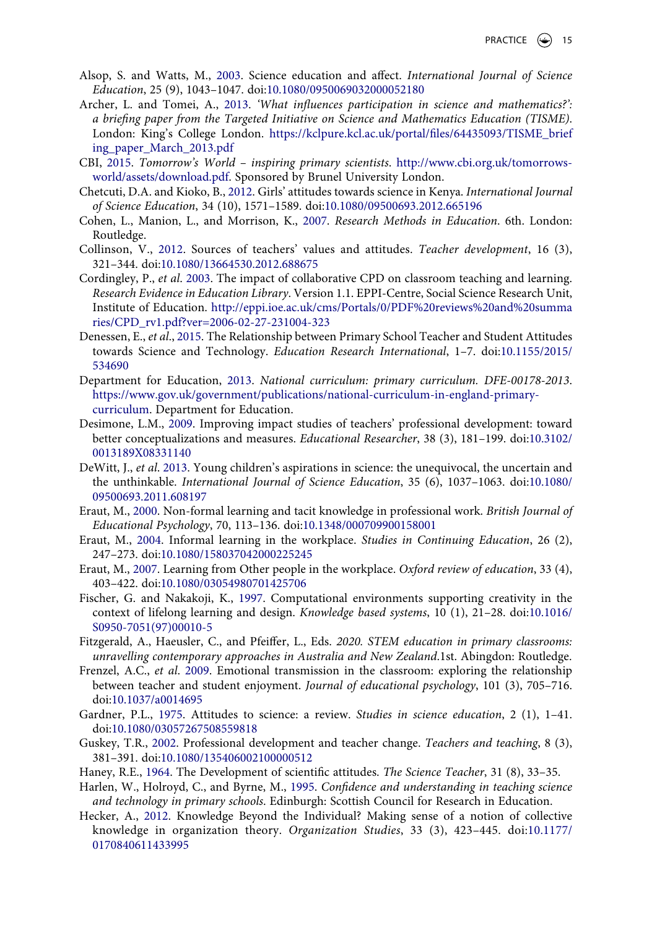- <span id="page-15-19"></span>Alsop, S. and Watts, M., [2003](#page-11-0). Science education and affect. *International Journal of Science Education*, 25 (9), 1043–1047. doi:[10.1080/0950069032000052180](https://doi.org/10.1080/0950069032000052180)
- <span id="page-15-7"></span>Archer, L. and Tomei, A., [2013](#page-2-2). *'What influences participation in science and mathematics?': a briefing paper from the Targeted Initiative on Science and Mathematics Education (TISME)*. London: King's College London. [https://kclpure.kcl.ac.uk/portal/files/64435093/TISME\\_brief](https://kclpure.kcl.ac.uk/portal/files/64435093/TISME_briefing_paper_March_2013.pdf) [ing\\_paper\\_March\\_2013.pdf](https://kclpure.kcl.ac.uk/portal/files/64435093/TISME_briefing_paper_March_2013.pdf)
- <span id="page-15-8"></span>CBI, [2015](#page-2-3). *Tomorrow's World – inspiring primary scientists*. [http://www.cbi.org.uk/tomorrows](http://www.cbi.org.uk/tomorrows-world/assets/download.pdf)[world/assets/download.pdf](http://www.cbi.org.uk/tomorrows-world/assets/download.pdf). Sponsored by Brunel University London.
- <span id="page-15-11"></span>Chetcuti, D.A. and Kioko, B., [2012.](#page-4-0) Girls' attitudes towards science in Kenya. *International Journal of Science Education*, 34 (10), 1571–1589. doi:[10.1080/09500693.2012.665196](https://doi.org/10.1080/09500693.2012.665196)
- <span id="page-15-17"></span>Cohen, L., Manion, L., and Morrison, K., [2007](#page-7-0). *Research Methods in Education*. 6th. London: Routledge.
- <span id="page-15-5"></span>Collinson, V., [2012](#page-2-4). Sources of teachers' values and attitudes. *Teacher development*, 16 (3), 321–344. doi:[10.1080/13664530.2012.688675](https://doi.org/10.1080/13664530.2012.688675)
- <span id="page-15-21"></span>Cordingley, P., *et al*. [2003](#page-13-0). The impact of collaborative CPD on classroom teaching and learning. *Research Evidence in Education Library*. Version 1.1. EPPI-Centre, Social Science Research Unit, Institute of Education. [http://eppi.ioe.ac.uk/cms/Portals/0/PDF%20reviews%20and%20summa](http://eppi.ioe.ac.uk/cms/Portals/0/PDF%20reviews%20and%20summaries/CPD_rv1.pdf?ver=2006-02-27-231004-323) [ries/CPD\\_rv1.pdf?ver=2006-02-27-231004-323](http://eppi.ioe.ac.uk/cms/Portals/0/PDF%20reviews%20and%20summaries/CPD_rv1.pdf?ver=2006-02-27-231004-323)
- <span id="page-15-12"></span>Denessen, E., *et al*., [2015](#page-4-1). The Relationship between Primary School Teacher and Student Attitudes towards Science and Technology. *Education Research International*, 1–7. doi:[10.1155/2015/](https://doi.org/10.1155/2015/534690) [534690](https://doi.org/10.1155/2015/534690)
- <span id="page-15-9"></span>Department for Education, [2013](#page-2-5). *National curriculum: primary curriculum. DFE-00178-2013*. [https://www.gov.uk/government/publications/national-curriculum-in-england-primary](https://www.gov.uk/government/publications/national-curriculum-in-england-primary-curriculum)[curriculum.](https://www.gov.uk/government/publications/national-curriculum-in-england-primary-curriculum) Department for Education.
- <span id="page-15-16"></span>Desimone, L.M., [2009.](#page-5-0) Improving impact studies of teachers' professional development: toward better conceptualizations and measures. *Educational Researcher*, 38 (3), 181–199. doi:[10.3102/](https://doi.org/10.3102/0013189X08331140) [0013189X08331140](https://doi.org/10.3102/0013189X08331140)
- <span id="page-15-0"></span>DeWitt, J., *et al*. [2013.](#page-1-0) Young children's aspirations in science: the unequivocal, the uncertain and the unthinkable. *International Journal of Science Education*, 35 (6), 1037–1063. doi:[10.1080/](https://doi.org/10.1080/09500693.2011.608197) [09500693.2011.608197](https://doi.org/10.1080/09500693.2011.608197)
- <span id="page-15-4"></span>Eraut, M., [2000.](#page-2-6) Non-formal learning and tacit knowledge in professional work. *British Journal of Educational Psychology*, 70, 113–136. doi:[10.1348/000709900158001](https://doi.org/10.1348/000709900158001)
- <span id="page-15-1"></span>Eraut, M., [2004.](#page-1-1) Informal learning in the workplace. *Studies in Continuing Education*, 26 (2), 247–273. doi:[10.1080/158037042000225245](https://doi.org/10.1080/158037042000225245)
- <span id="page-15-18"></span>Eraut, M., [2007.](#page-10-0) Learning from Other people in the workplace. *Oxford review of education*, 33 (4), 403–422. doi:[10.1080/03054980701425706](https://doi.org/10.1080/03054980701425706)
- <span id="page-15-3"></span>Fischer, G. and Nakakoji, K., [1997.](#page-2-7) Computational environments supporting creativity in the context of lifelong learning and design. *Knowledge based systems*, 10 (1), 21–28. doi:[10.1016/](https://doi.org/10.1016/S0950-7051(97)00010-5) [S0950-7051\(97\)00010-5](https://doi.org/10.1016/S0950-7051(97)00010-5)
- <span id="page-15-6"></span>Fitzgerald, A., Haeusler, C., and Pfeiffer, L., Eds. *2020. STEM education in primary classrooms: unravelling contemporary approaches in Australia and New Zealand*.1st. Abingdon: Routledge.
- <span id="page-15-14"></span>Frenzel, A.C., *et al*. [2009](#page-5-1). Emotional transmission in the classroom: exploring the relationship between teacher and student enjoyment. *Journal of educational psychology*, 101 (3), 705–716. doi:[10.1037/a0014695](https://doi.org/10.1037/a0014695)
- <span id="page-15-10"></span>Gardner, P.L., [1975](#page-3-0). Attitudes to science: a review. *Studies in science education*, 2 (1), 1–41. doi:[10.1080/03057267508559818](https://doi.org/10.1080/03057267508559818)
- <span id="page-15-15"></span>Guskey, T.R., [2002](#page-5-0). Professional development and teacher change. *Teachers and teaching*, 8 (3), 381–391. doi:[10.1080/135406002100000512](https://doi.org/10.1080/135406002100000512)
- <span id="page-15-2"></span>Haney, R.E., [1964.](#page-1-2) The Development of scientific attitudes. *The Science Teacher*, 31 (8), 33–35.
- <span id="page-15-13"></span>Harlen, W., Holroyd, C., and Byrne, M., [1995](#page-4-2). *Confidence and understanding in teaching science and technology in primary schools*. Edinburgh: Scottish Council for Research in Education.
- <span id="page-15-20"></span>Hecker, A., [2012](#page-13-1). Knowledge Beyond the Individual? Making sense of a notion of collective knowledge in organization theory. *Organization Studies*, 33 (3), 423–445. doi:[10.1177/](https://doi.org/10.1177/0170840611433995) [0170840611433995](https://doi.org/10.1177/0170840611433995)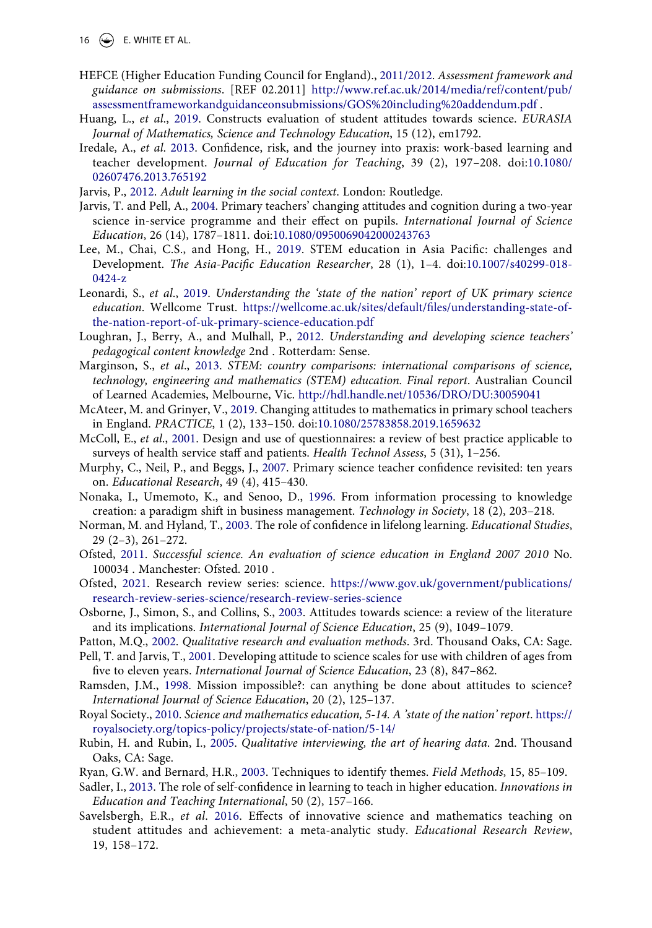16  $\left(\rightarrow\right)$  E. WHITE ET AL.

- <span id="page-16-19"></span>HEFCE (Higher Education Funding Council for England)., [2011/2012](#page-9-0). *Assessment framework and guidance on submissions*. [REF 02.2011] [http://www.ref.ac.uk/2014/media/ref/content/pub/](http://www.ref.ac.uk/2014/media/ref/content/pub/assessmentframeworkandguidanceonsubmissions/GOS%20including%20addendum.pdf) [assessmentframeworkandguidanceonsubmissions/GOS%20including%20addendum.pdf](http://www.ref.ac.uk/2014/media/ref/content/pub/assessmentframeworkandguidanceonsubmissions/GOS%20including%20addendum.pdf) .
- <span id="page-16-3"></span>Huang, L., *et al*., [2019](#page-1-3). Constructs evaluation of student attitudes towards science. *EURASIA Journal of Mathematics, Science and Technology Education*, 15 (12), em1792.
- <span id="page-16-20"></span>Iredale, A., *et al*. [2013](#page-10-1). Confidence, risk, and the journey into praxis: work-based learning and teacher development. *Journal of Education for Teaching*, 39 (2), 197–208. doi:[10.1080/](https://doi.org/10.1080/02607476.2013.765192) [02607476.2013.765192](https://doi.org/10.1080/02607476.2013.765192)
- <span id="page-16-4"></span>Jarvis, P., [2012.](#page-1-2) *Adult learning in the social context*. London: Routledge.
- <span id="page-16-1"></span>Jarvis, T. and Pell, A., [2004.](#page-1-0) Primary teachers' changing attitudes and cognition during a two-year science in-service programme and their effect on pupils. *International Journal of Science Education*, 26 (14), 1787–1811. doi:[10.1080/0950069042000243763](https://doi.org/10.1080/0950069042000243763)
- <span id="page-16-8"></span>Lee, M., Chai, C.S., and Hong, H., [2019](#page-2-8). STEM education in Asia Pacific: challenges and Development. *The Asia-Pacific Education Researcher*, 28 (1), 1–4. doi:[10.1007/s40299-018-](https://doi.org/10.1007/s40299-018-0424-z) [0424-z](https://doi.org/10.1007/s40299-018-0424-z)
- <span id="page-16-10"></span>Leonardi, S., *et al*., [2019](#page-3-1). *Understanding the 'state of the nation' report of UK primary science education*. Wellcome Trust. [https://wellcome.ac.uk/sites/default/files/understanding-state-of](https://wellcome.ac.uk/sites/default/files/understanding-state-of-the-nation-report-of-uk-primary-science-education.pdf)[the-nation-report-of-uk-primary-science-education.pdf](https://wellcome.ac.uk/sites/default/files/understanding-state-of-the-nation-report-of-uk-primary-science-education.pdf)
- <span id="page-16-23"></span>Loughran, J., Berry, A., and Mulhall, P., [2012.](#page-11-1) *Understanding and developing science teachers' pedagogical content knowledge* 2nd . Rotterdam: Sense.
- <span id="page-16-7"></span>Marginson, S., *et al*., [2013.](#page-2-9) *STEM: country comparisons: international comparisons of science, technology, engineering and mathematics (STEM) education. Final report*. Australian Council of Learned Academies, Melbourne, Vic. <http://hdl.handle.net/10536/DRO/DU:30059041>
- <span id="page-16-14"></span>McAteer, M. and Grinyer, V., [2019.](#page-4-3) Changing attitudes to mathematics in primary school teachers in England. *PRACTICE*, 1 (2), 133–150. doi:[10.1080/25783858.2019.1659632](https://doi.org/10.1080/25783858.2019.1659632)
- <span id="page-16-16"></span>McColl, E., *et al*., [2001](#page-7-1). Design and use of questionnaires: a review of best practice applicable to surveys of health service staff and patients. *Health Technol Assess*, 5 (31), 1–256.
- <span id="page-16-13"></span>Murphy, C., Neil, P., and Beggs, J., [2007.](#page-4-2) Primary science teacher confidence revisited: ten years on. *Educational Research*, 49 (4), 415–430.
- <span id="page-16-5"></span>Nonaka, I., Umemoto, K., and Senoo, D., [1996.](#page-2-10) From information processing to knowledge creation: a paradigm shift in business management. *Technology in Society*, 18 (2), 203–218.
- <span id="page-16-22"></span>Norman, M. and Hyland, T., [2003.](#page-10-2) The role of confidence in lifelong learning. *Educational Studies*, 29 (2–3), 261–272.
- <span id="page-16-24"></span>Ofsted, [2011.](#page-12-0) *Successful science. An evaluation of science education in England 2007 2010* No. 100034 . Manchester: Ofsted. 2010 .
- <span id="page-16-9"></span>Ofsted, [2021](#page-2-11). Research review series: science. [https://www.gov.uk/government/publications/](https://www.gov.uk/government/publications/research-review-series-science/research-review-series-science) [research-review-series-science/research-review-series-science](https://www.gov.uk/government/publications/research-review-series-science/research-review-series-science)
- <span id="page-16-6"></span>Osborne, J., Simon, S., and Collins, S., [2003](#page-2-12). Attitudes towards science: a review of the literature and its implications. *International Journal of Science Education*, 25 (9), 1049–1079.
- <span id="page-16-15"></span>Patton, M.Q., [2002](#page-6-2). *Qualitative research and evaluation methods*. 3rd. Thousand Oaks, CA: Sage.
- <span id="page-16-0"></span>Pell, T. and Jarvis, T., [2001.](#page-1-0) Developing attitude to science scales for use with children of ages from five to eleven years. *International Journal of Science Education*, 23 (8), 847–862.
- <span id="page-16-12"></span>Ramsden, J.M., [1998.](#page-3-2) Mission impossible?: can anything be done about attitudes to science? *International Journal of Science Education*, 20 (2), 125–137.
- <span id="page-16-11"></span>Royal Society., [2010](#page-3-3). *Science and mathematics education, 5-14. A 'state of the nation' report*. [https://](https://royalsociety.org/topics-policy/projects/state-of-nation/5-14/) [royalsociety.org/topics-policy/projects/state-of-nation/5-14/](https://royalsociety.org/topics-policy/projects/state-of-nation/5-14/)
- <span id="page-16-17"></span>Rubin, H. and Rubin, I., [2005](#page-7-2). *Qualitative interviewing, the art of hearing data*. 2nd. Thousand Oaks, CA: Sage.
- <span id="page-16-18"></span>Ryan, G.W. and Bernard, H.R., [2003.](#page-8-1) Techniques to identify themes. *Field Methods*, 15, 85–109.
- <span id="page-16-21"></span>Sadler, I., [2013.](#page-10-3) The role of self-confidence in learning to teach in higher education. *Innovations in Education and Teaching International*, 50 (2), 157–166.
- <span id="page-16-2"></span>Savelsbergh, E.R., *et al*. [2016](#page-1-3). Effects of innovative science and mathematics teaching on student attitudes and achievement: a meta-analytic study. *Educational Research Review*, 19, 158–172.